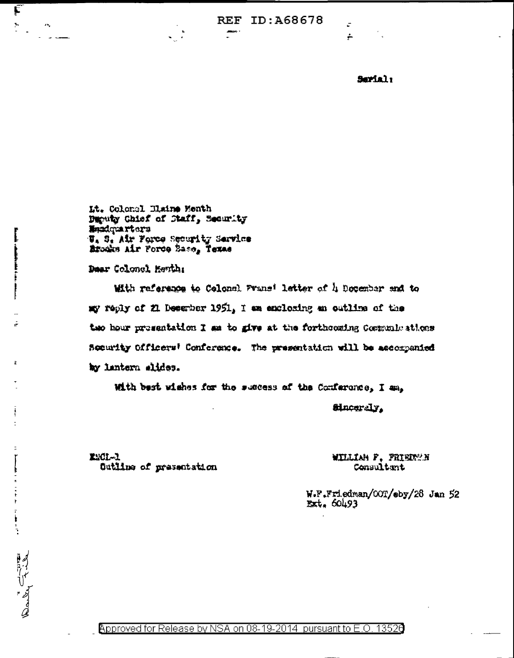**REF ID: A68678** 

 $\leftarrow$ 

Sarial:

Lt. Colonel Blaine Menth Deputy Chief of Staff, Security **Enadquarters** W. S. Air Force Security Service Brocks Air Force Sase, Texas

Dear Colonel Henth:

Ę

 $\sum_{i=1}^n \alpha_i$ 

And Tribe

 $\mathcal{F}_{\mathbf{a}}$ 

With reference to Celonal Prans' letter of 4 December and to my reply of 21 Desember 1951, I am enclosing an outline of the two hour presentation I as to give at the forthcoming Communications Socurity Officers' Conference. The presentation will be accompanied by lantern slides.

With best wishes for the success of the Conference, I am.

Sinceraly.

EMCL-1 Outline of presentation

## WILLIAM F. FRIEDWAN Consultant

W.F.Friedman/COT/sby/28 Jan 52  $Ext.60493$